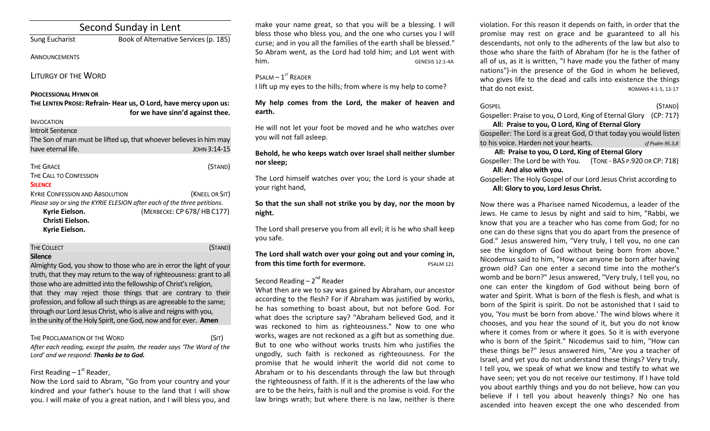# Second Sunday in Lent

Sung Eucharist Book of Alternative Services (p. 185)

#### ANNOUNCEMENTS

LITURGY OF THE WORD

#### **PROCESSIONAL HYMN OR**

**THE LENTEN PROSE: Refrain- Hear us, O Lord, have mercy upon us: for we have sinn'd against thee.** 

#### INVOCATION

| Introit Sentence                                                        |                |
|-------------------------------------------------------------------------|----------------|
| The Son of man must be lifted up, that whoever believes in him may      |                |
| have eternal life.                                                      | JOHN 3:14-15   |
|                                                                         |                |
| <b>THE GRACE</b>                                                        | (STAND)        |
| THE CALL TO CONFESSION                                                  |                |
| <b>SILENCE</b>                                                          |                |
| <b>KYRIE CONFESSION AND ABSOLUTION</b>                                  | (KNEEL OR SIT) |
| Please say or sing the KYRIE ELESION after each of the three petitions. |                |

**Kyrie Eielson.** (MERBECKE: CP 678/ HB C177)

**Christi Eielson.**

**Kyrie Eielson.**

#### THE COLLECT **THE COLLECT COLLECT COLLECT COLLECT COLLECT COLLECT COLLECT Silence**

Almighty God, you show to those who are in error the light of your truth, that they may return to the way of righteousness: grant to all those who are admitted into the fellowship of Christ's religion, that they may reject those things that are contrary to their profession, and follow all such things as are agreeable to the same; through our Lord Jesus Christ, who is alive and reigns with you, in the unity of the Holy Spirit, one God, now and for ever. **Amen**

#### THE PROCLAMATION OF THE WORD (SIT) *After each reading, except the psalm, the reader says 'The Word of the Lord' and we respond: Thanks be to God.*

# First Reading  $-1<sup>st</sup>$  Reader,

Now the Lord said to Abram, "Go from your country and your kindred and your father's house to the land that I will show you. I will make of you a great nation, and I will bless you, and make your name great, so that you will be a blessing. I will bless those who bless you, and the one who curses you I will curse; and in you all the families of the earth shall be blessed." So Abram went, as the Lord had told him; and Lot went with him. GENESIS 12:1-4A

#### $P$ SALM  $-1$ <sup>ST</sup> READER

I lift up my eyes to the hills; from where is my help to come?

**My help comes from the Lord, the maker of heaven and earth.** 

He will not let your foot be moved and he who watches over you will not fall asleep.

**Behold, he who keeps watch over Israel shall neither slumber nor sleep;** 

The Lord himself watches over you; the Lord is your shade at your right hand,

**So that the sun shall not strike you by day, nor the moon by night.** 

The Lord shall preserve you from all evil; it is he who shall keep you safe.

**The Lord shall watch over your going out and your coming in, from this time forth for evermore.** PSALM 121

# Second Reading – 2<sup>nd</sup> Reader

What then are we to say was gained by Abraham, our ancestor according to the flesh? For if Abraham was justified by works, he has something to boast about, but not before God. For what does the scripture say? "Abraham believed God, and it was reckoned to him as righteousness." Now to one who works, wages are not reckoned as a gift but as something due. But to one who without works trusts him who justifies the ungodly, such faith is reckoned as righteousness. For the promise that he would inherit the world did not come to Abraham or to his descendants through the law but through the righteousness of faith. If it is the adherents of the law who are to be the heirs, faith is null and the promise is void. For the law brings wrath; but where there is no law, neither is there

violation. For this reason it depends on faith, in order that the promise may rest on grace and be guaranteed to all his descendants, not only to the adherents of the law but also to those who share the faith of Abraham (for he is the father of all of us, as it is written, "I have made you the father of many nations")-in the presence of the God in whom he believed, who gives life to the dead and calls into existence the things that do not exist. The second series are set of the ROMANS 4:1-5, 13-17

GOSPEL (STAND)

Gospeller: Praise to you, O Lord, King of Eternal Glory (CP: 717) **All: Praise to you, O Lord, King of Eternal Glory**

Gospeller: The Lord is a great God, O that today you would listen to his voice. Harden not your hearts. *cf Psalm 95.3,8*

**All: Praise to you, O Lord, King of Eternal Glory**

Gospeller: The Lord be with You. (TONE - BAS P.920 OR CP: 718) **All: And also with you.** 

Gospeller: The Holy Gospel of our Lord Jesus Christ according to **All: Glory to you, Lord Jesus Christ.**

Now there was a Pharisee named Nicodemus, a leader of the Jews. He came to Jesus by night and said to him, "Rabbi, we know that you are a teacher who has come from God; for no one can do these signs that you do apart from the presence of God." Jesus answered him, "Very truly, I tell you, no one can see the kingdom of God without being born from above." Nicodemus said to him, "How can anyone be born after having grown old? Can one enter a second time into the mother's womb and be born?" Jesus answered, "Very truly, I tell you, no one can enter the kingdom of God without being born of water and Spirit. What is born of the flesh is flesh, and what is born of the Spirit is spirit. Do not be astonished that I said to you, 'You must be born from above.' The wind blows where it chooses, and you hear the sound of it, but you do not know where it comes from or where it goes. So it is with everyone who is born of the Spirit." Nicodemus said to him, "How can these things be?" Jesus answered him, "Are you a teacher of Israel, and yet you do not understand these things? Very truly, I tell you, we speak of what we know and testify to what we have seen; yet you do not receive our testimony. If I have told you about earthly things and you do not believe, how can you believe if I tell you about heavenly things? No one has ascended into heaven except the one who descended from